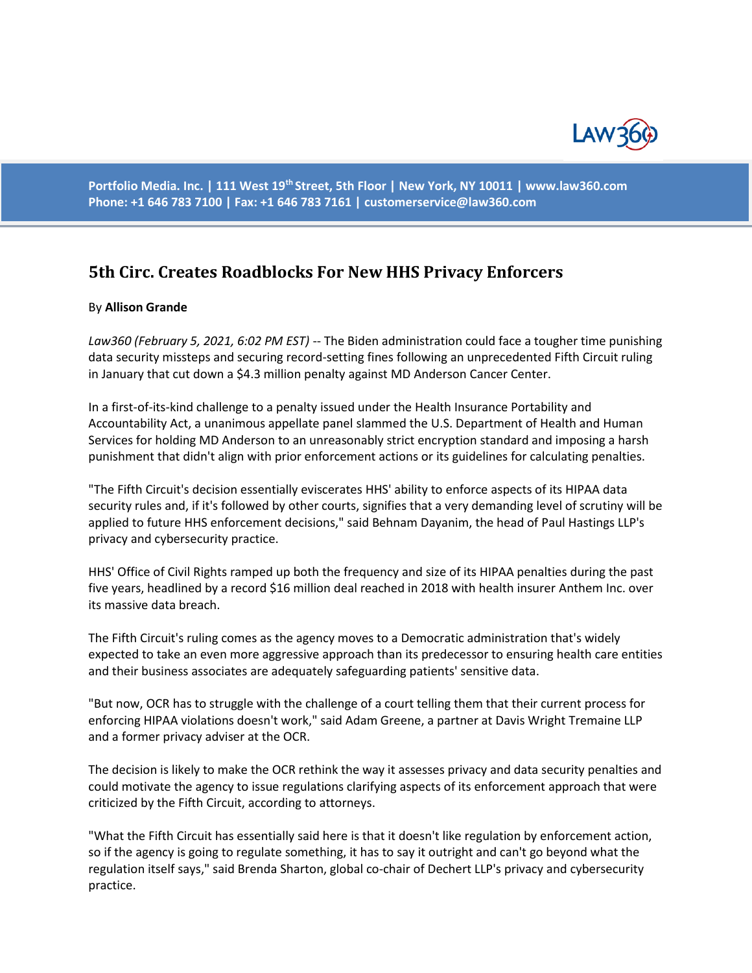

**Portfolio Media. Inc. | 111 West 19th Street, 5th Floor | New York, NY 10011 | www.law360.com Phone: +1 646 783 7100 | Fax: +1 646 783 7161 | customerservice@law360.com**

## **5th Circ. Creates Roadblocks For New HHS Privacy Enforcers**

## By **Allison Grande**

*Law360 (February 5, 2021, 6:02 PM EST)* -- The Biden administration could face a tougher time punishing data security missteps and securing record-setting fines following an unprecedented Fifth Circuit ruling in January that cut down a \$4.3 million penalty against MD Anderson Cancer Center.

In a first-of-its-kind challenge to a penalty issued under the Health Insurance Portability and Accountability Act, a unanimous appellate panel slammed the U.S. Department of Health and Human Services for holding MD Anderson to an unreasonably strict encryption standard and imposing a harsh punishment that didn't align with prior enforcement actions or its guidelines for calculating penalties.

"The Fifth Circuit's decision essentially eviscerates HHS' ability to enforce aspects of its HIPAA data security rules and, if it's followed by other courts, signifies that a very demanding level of scrutiny will be applied to future HHS enforcement decisions," said Behnam Dayanim, the head of Paul Hastings LLP's privacy and cybersecurity practice.

HHS' Office of Civil Rights ramped up both the frequency and size of its HIPAA penalties during the past five years, headlined by a record \$16 million deal reached in 2018 with health insurer Anthem Inc. over its massive data breach.

The Fifth Circuit's ruling comes as the agency moves to a Democratic administration that's widely expected to take an even more aggressive approach than its predecessor to ensuring health care entities and their business associates are adequately safeguarding patients' sensitive data.

"But now, OCR has to struggle with the challenge of a court telling them that their current process for enforcing HIPAA violations doesn't work," said Adam Greene, a partner at Davis Wright Tremaine LLP and a former privacy adviser at the OCR.

The decision is likely to make the OCR rethink the way it assesses privacy and data security penalties and could motivate the agency to issue regulations clarifying aspects of its enforcement approach that were criticized by the Fifth Circuit, according to attorneys.

"What the Fifth Circuit has essentially said here is that it doesn't like regulation by enforcement action, so if the agency is going to regulate something, it has to say it outright and can't go beyond what the regulation itself says," said Brenda Sharton, global co-chair of Dechert LLP's privacy and cybersecurity practice.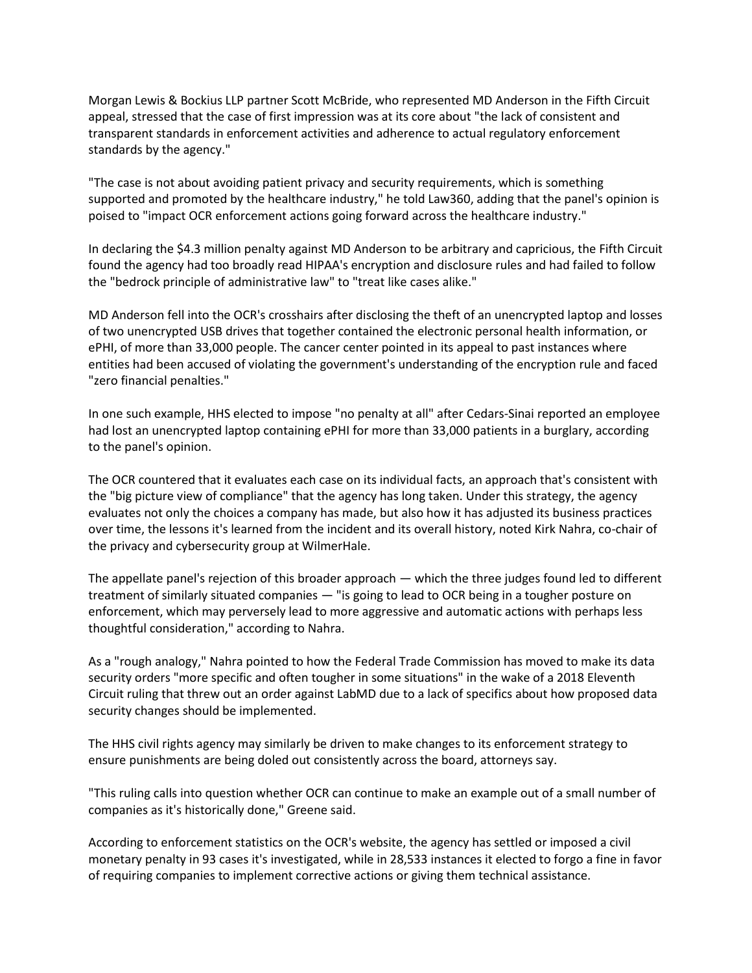Morgan Lewis & Bockius LLP partner Scott McBride, who represented MD Anderson in the Fifth Circuit appeal, stressed that the case of first impression was at its core about "the lack of consistent and transparent standards in enforcement activities and adherence to actual regulatory enforcement standards by the agency."

"The case is not about avoiding patient privacy and security requirements, which is something supported and promoted by the healthcare industry," he told Law360, adding that the panel's opinion is poised to "impact OCR enforcement actions going forward across the healthcare industry."

In declaring the \$4.3 million penalty against MD Anderson to be arbitrary and capricious, the Fifth Circuit found the agency had too broadly read HIPAA's encryption and disclosure rules and had failed to follow the "bedrock principle of administrative law" to "treat like cases alike."

MD Anderson fell into the OCR's crosshairs after disclosing the theft of an unencrypted laptop and losses of two unencrypted USB drives that together contained the electronic personal health information, or ePHI, of more than 33,000 people. The cancer center pointed in its appeal to past instances where entities had been accused of violating the government's understanding of the encryption rule and faced "zero financial penalties."

In one such example, HHS elected to impose "no penalty at all" after Cedars-Sinai reported an employee had lost an unencrypted laptop containing ePHI for more than 33,000 patients in a burglary, according to the panel's opinion.

The OCR countered that it evaluates each case on its individual facts, an approach that's consistent with the "big picture view of compliance" that the agency has long taken. Under this strategy, the agency evaluates not only the choices a company has made, but also how it has adjusted its business practices over time, the lessons it's learned from the incident and its overall history, noted Kirk Nahra, co-chair of the privacy and cybersecurity group at WilmerHale.

The appellate panel's rejection of this broader approach — which the three judges found led to different treatment of similarly situated companies — "is going to lead to OCR being in a tougher posture on enforcement, which may perversely lead to more aggressive and automatic actions with perhaps less thoughtful consideration," according to Nahra.

As a "rough analogy," Nahra pointed to how the Federal Trade Commission has moved to make its data security orders "more specific and often tougher in some situations" in the wake of a 2018 Eleventh Circuit ruling that threw out an order against LabMD due to a lack of specifics about how proposed data security changes should be implemented.

The HHS civil rights agency may similarly be driven to make changes to its enforcement strategy to ensure punishments are being doled out consistently across the board, attorneys say.

"This ruling calls into question whether OCR can continue to make an example out of a small number of companies as it's historically done," Greene said.

According to enforcement statistics on the OCR's website, the agency has settled or imposed a civil monetary penalty in 93 cases it's investigated, while in 28,533 instances it elected to forgo a fine in favor of requiring companies to implement corrective actions or giving them technical assistance.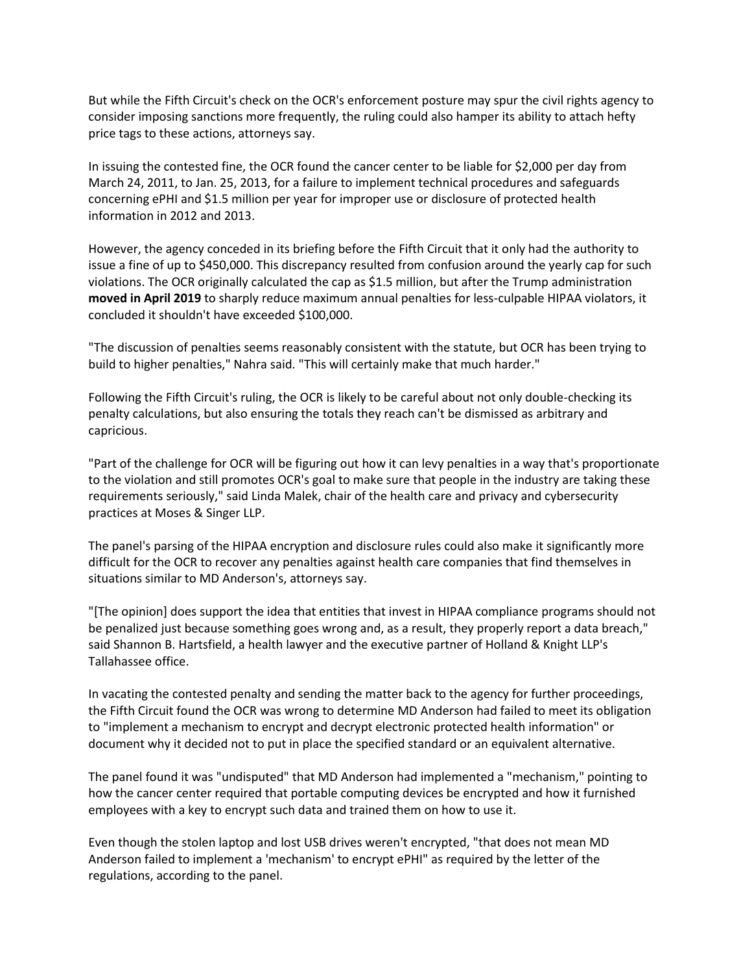But while the Fifth Circuit's check on the OCR's enforcement posture may spur the civil rights agency to consider imposing sanctions more frequently, the ruling could also hamper its ability to attach hefty price tags to these actions, attorneys say.

In issuing the contested fine, the OCR found the cancer center to be liable for \$2,000 per day from March 24, 2011, to Jan. 25, 2013, for a failure to implement technical procedures and safeguards concerning ePHI and \$1.5 million per year for improper use or disclosure of protected health information in 2012 and 2013.

However, the agency conceded in its briefing before the Fifth Circuit that it only had the authority to issue a fine of up to \$450,000. This discrepancy resulted from confusion around the yearly cap for such violations. The OCR originally calculated the cap as \$1.5 million, but after the Trump administration **moved in April 2019** to sharply reduce maximum annual penalties for less-culpable HIPAA violators, it concluded it shouldn't have exceeded \$100,000.

"The discussion of penalties seems reasonably consistent with the statute, but OCR has been trying to build to higher penalties," Nahra said. "This will certainly make that much harder."

Following the Fifth Circuit's ruling, the OCR is likely to be careful about not only double-checking its penalty calculations, but also ensuring the totals they reach can't be dismissed as arbitrary and capricious.

"Part of the challenge for OCR will be figuring out how it can levy penalties in a way that's proportionate to the violation and still promotes OCR's goal to make sure that people in the industry are taking these requirements seriously," said Linda Malek, chair of the health care and privacy and cybersecurity practices at Moses & Singer LLP.

The panel's parsing of the HIPAA encryption and disclosure rules could also make it significantly more difficult for the OCR to recover any penalties against health care companies that find themselves in situations similar to MD Anderson's, attorneys say.

"[The opinion] does support the idea that entities that invest in HIPAA compliance programs should not be penalized just because something goes wrong and, as a result, they properly report a data breach," said Shannon B. Hartsfield, a health lawyer and the executive partner of Holland & Knight LLP's Tallahassee office.

In vacating the contested penalty and sending the matter back to the agency for further proceedings, the Fifth Circuit found the OCR was wrong to determine MD Anderson had failed to meet its obligation to "implement a mechanism to encrypt and decrypt electronic protected health information" or document why it decided not to put in place the specified standard or an equivalent alternative.

The panel found it was "undisputed" that MD Anderson had implemented a "mechanism," pointing to how the cancer center required that portable computing devices be encrypted and how it furnished employees with a key to encrypt such data and trained them on how to use it.

Even though the stolen laptop and lost USB drives weren't encrypted, "that does not mean MD Anderson failed to implement a 'mechanism' to encrypt ePHI" as required by the letter of the regulations, according to the panel.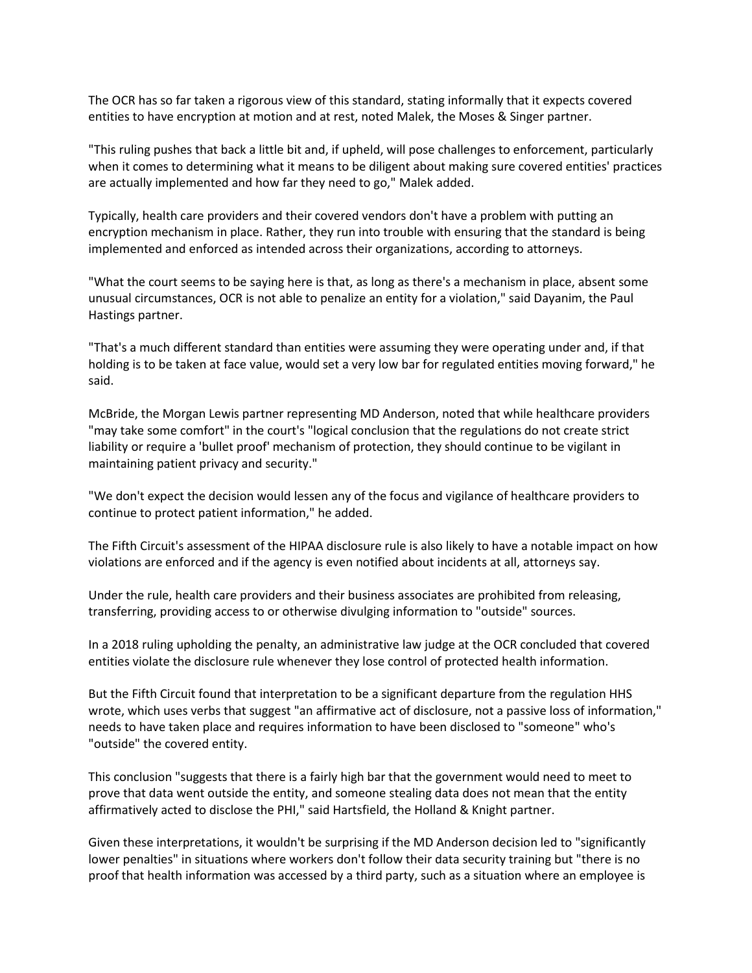The OCR has so far taken a rigorous view of this standard, stating informally that it expects covered entities to have encryption at motion and at rest, noted Malek, the Moses & Singer partner.

"This ruling pushes that back a little bit and, if upheld, will pose challenges to enforcement, particularly when it comes to determining what it means to be diligent about making sure covered entities' practices are actually implemented and how far they need to go," Malek added.

Typically, health care providers and their covered vendors don't have a problem with putting an encryption mechanism in place. Rather, they run into trouble with ensuring that the standard is being implemented and enforced as intended across their organizations, according to attorneys.

"What the court seems to be saying here is that, as long as there's a mechanism in place, absent some unusual circumstances, OCR is not able to penalize an entity for a violation," said Dayanim, the Paul Hastings partner.

"That's a much different standard than entities were assuming they were operating under and, if that holding is to be taken at face value, would set a very low bar for regulated entities moving forward," he said.

McBride, the Morgan Lewis partner representing MD Anderson, noted that while healthcare providers "may take some comfort" in the court's "logical conclusion that the regulations do not create strict liability or require a 'bullet proof' mechanism of protection, they should continue to be vigilant in maintaining patient privacy and security."

"We don't expect the decision would lessen any of the focus and vigilance of healthcare providers to continue to protect patient information," he added.

The Fifth Circuit's assessment of the HIPAA disclosure rule is also likely to have a notable impact on how violations are enforced and if the agency is even notified about incidents at all, attorneys say.

Under the rule, health care providers and their business associates are prohibited from releasing, transferring, providing access to or otherwise divulging information to "outside" sources.

In a 2018 ruling upholding the penalty, an administrative law judge at the OCR concluded that covered entities violate the disclosure rule whenever they lose control of protected health information.

But the Fifth Circuit found that interpretation to be a significant departure from the regulation HHS wrote, which uses verbs that suggest "an affirmative act of disclosure, not a passive loss of information," needs to have taken place and requires information to have been disclosed to "someone" who's "outside" the covered entity.

This conclusion "suggests that there is a fairly high bar that the government would need to meet to prove that data went outside the entity, and someone stealing data does not mean that the entity affirmatively acted to disclose the PHI," said Hartsfield, the Holland & Knight partner.

Given these interpretations, it wouldn't be surprising if the MD Anderson decision led to "significantly lower penalties" in situations where workers don't follow their data security training but "there is no proof that health information was accessed by a third party, such as a situation where an employee is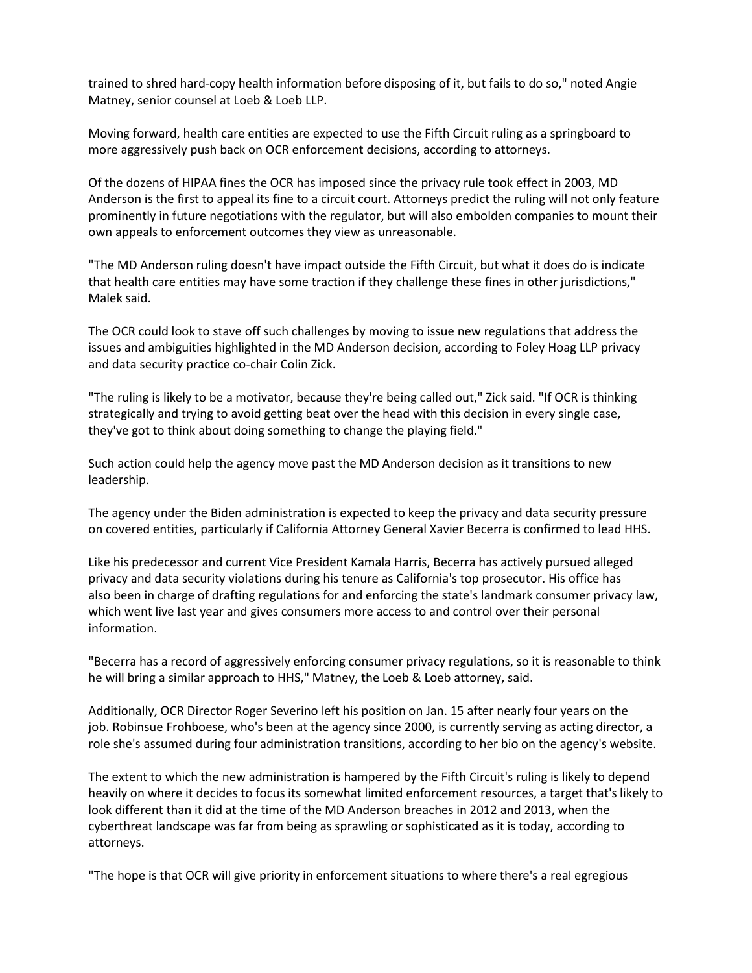trained to shred hard-copy health information before disposing of it, but fails to do so," noted Angie Matney, senior counsel at Loeb & Loeb LLP.

Moving forward, health care entities are expected to use the Fifth Circuit ruling as a springboard to more aggressively push back on OCR enforcement decisions, according to attorneys.

Of the dozens of HIPAA fines the OCR has imposed since the privacy rule took effect in 2003, MD Anderson is the first to appeal its fine to a circuit court. Attorneys predict the ruling will not only feature prominently in future negotiations with the regulator, but will also embolden companies to mount their own appeals to enforcement outcomes they view as unreasonable.

"The MD Anderson ruling doesn't have impact outside the Fifth Circuit, but what it does do is indicate that health care entities may have some traction if they challenge these fines in other jurisdictions," Malek said.

The OCR could look to stave off such challenges by moving to issue new regulations that address the issues and ambiguities highlighted in the MD Anderson decision, according to Foley Hoag LLP privacy and data security practice co-chair Colin Zick.

"The ruling is likely to be a motivator, because they're being called out," Zick said. "If OCR is thinking strategically and trying to avoid getting beat over the head with this decision in every single case, they've got to think about doing something to change the playing field."

Such action could help the agency move past the MD Anderson decision as it transitions to new leadership.

The agency under the Biden administration is expected to keep the privacy and data security pressure on covered entities, particularly if California Attorney General Xavier Becerra is confirmed to lead HHS.

Like his predecessor and current Vice President Kamala Harris, Becerra has actively pursued alleged privacy and data security violations during his tenure as California's top prosecutor. His office has also been in charge of drafting regulations for and enforcing the state's landmark consumer privacy law, which went live last year and gives consumers more access to and control over their personal information.

"Becerra has a record of aggressively enforcing consumer privacy regulations, so it is reasonable to think he will bring a similar approach to HHS," Matney, the Loeb & Loeb attorney, said.

Additionally, OCR Director Roger Severino left his position on Jan. 15 after nearly four years on the job. Robinsue Frohboese, who's been at the agency since 2000, is currently serving as acting director, a role she's assumed during four administration transitions, according to her bio on the agency's website.

The extent to which the new administration is hampered by the Fifth Circuit's ruling is likely to depend heavily on where it decides to focus its somewhat limited enforcement resources, a target that's likely to look different than it did at the time of the MD Anderson breaches in 2012 and 2013, when the cyberthreat landscape was far from being as sprawling or sophisticated as it is today, according to attorneys.

"The hope is that OCR will give priority in enforcement situations to where there's a real egregious